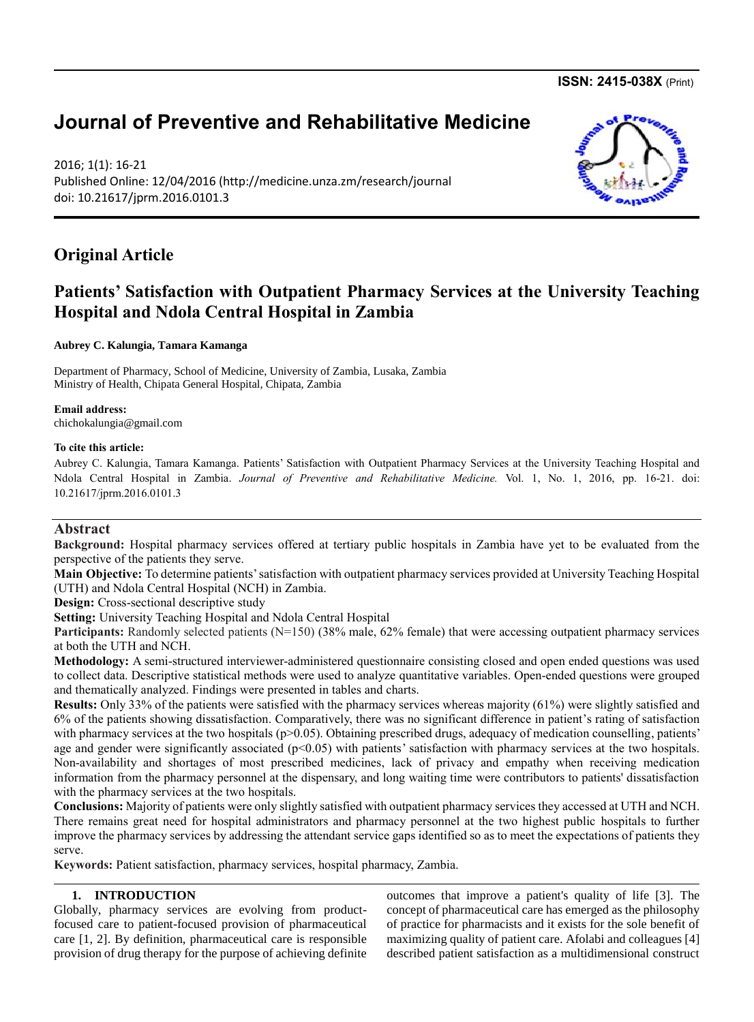**ISSN: 2415-038X** (Print)

# **Journal of Preventive and Rehabilitative Medicine**

2016; 1(1): 16-21 Published Online: 12/04/2016 (http://medicine.unza.zm/research/journal doi: 10.21617/jprm.2016.0101.3

# **Original Article**

# **Patients' Satisfaction with Outpatient Pharmacy Services at the University Teaching Hospital and Ndola Central Hospital in Zambia**

**Aubrey C. Kalungia, Tamara Kamanga** 

Department of Pharmacy, School of Medicine, University of Zambia, Lusaka, Zambia Ministry of Health, Chipata General Hospital, Chipata, Zambia

**Email address:** [chichokalungia@gmail.com](mailto:chichokalungia@gmail.com)

#### **To cite this article:**

Aubrey C. Kalungia, Tamara Kamanga. Patients' Satisfaction with Outpatient Pharmacy Services at the University Teaching Hospital and Ndola Central Hospital in Zambia. *Journal of Preventive and Rehabilitative Medicine.* Vol. 1, No. 1, 2016, pp. 16-21. doi: 10.21617/jprm.2016.0101.3

# **Abstract**

**Background:** Hospital pharmacy services offered at tertiary public hospitals in Zambia have yet to be evaluated from the perspective of the patients they serve.

**Main Objective:** To determine patients' satisfaction with outpatient pharmacy services provided at University Teaching Hospital (UTH) and Ndola Central Hospital (NCH) in Zambia.

**Design:** Cross-sectional descriptive study

**Setting:** University Teaching Hospital and Ndola Central Hospital

**Participants:** Randomly selected patients (N=150) (38% male, 62% female) that were accessing outpatient pharmacy services at both the UTH and NCH.

**Methodology:** A semi-structured interviewer-administered questionnaire consisting closed and open ended questions was used to collect data. Descriptive statistical methods were used to analyze quantitative variables. Open-ended questions were grouped and thematically analyzed. Findings were presented in tables and charts.

**Results:** Only 33% of the patients were satisfied with the pharmacy services whereas majority (61%) were slightly satisfied and 6% of the patients showing dissatisfaction. Comparatively, there was no significant difference in patient's rating of satisfaction with pharmacy services at the two hospitals (p>0.05). Obtaining prescribed drugs, adequacy of medication counselling, patients' age and gender were significantly associated  $(p<0.05)$  with patients' satisfaction with pharmacy services at the two hospitals. Non-availability and shortages of most prescribed medicines, lack of privacy and empathy when receiving medication information from the pharmacy personnel at the dispensary, and long waiting time were contributors to patients' dissatisfaction with the pharmacy services at the two hospitals.

**Conclusions:** Majority of patients were only slightly satisfied with outpatient pharmacy services they accessed at UTH and NCH. There remains great need for hospital administrators and pharmacy personnel at the two highest public hospitals to further improve the pharmacy services by addressing the attendant service gaps identified so as to meet the expectations of patients they serve.

**Keywords:** Patient satisfaction, pharmacy services, hospital pharmacy, Zambia.

## **1. INTRODUCTION**

Globally, pharmacy services are evolving from productfocused care to patient-focused provision of pharmaceutical care [1, 2]. By definition, pharmaceutical care is responsible provision of drug therapy for the purpose of achieving definite outcomes that improve a patient's quality of life [3]. The concept of pharmaceutical care has emerged as the philosophy of practice for pharmacists and it exists for the sole benefit of maximizing quality of patient care. Afolabi and colleagues [4] described patient satisfaction as a multidimensional construct

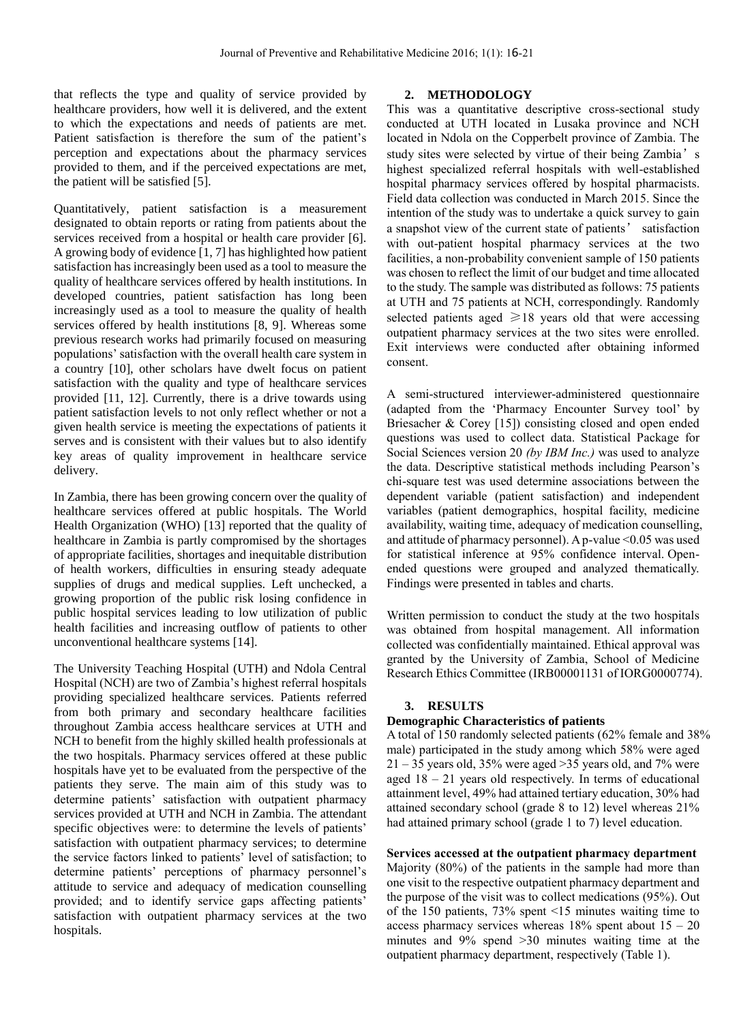that reflects the type and quality of service provided by healthcare providers, how well it is delivered, and the extent to which the expectations and needs of patients are met. Patient satisfaction is therefore the sum of the patient's perception and expectations about the pharmacy services provided to them, and if the perceived expectations are met, the patient will be satisfied [5].

Quantitatively, patient satisfaction is a measurement designated to obtain reports or rating from patients about the services received from a hospital or health care provider [6]. A growing body of evidence [1, 7] has highlighted how patient satisfaction has increasingly been used as a tool to measure the quality of healthcare services offered by health institutions. In developed countries, patient satisfaction has long been increasingly used as a tool to measure the quality of health services offered by health institutions [8, 9]. Whereas some previous research works had primarily focused on measuring populations' satisfaction with the overall health care system in a country [10], other scholars have dwelt focus on patient satisfaction with the quality and type of healthcare services provided [11, 12]. Currently, there is a drive towards using patient satisfaction levels to not only reflect whether or not a given health service is meeting the expectations of patients it serves and is consistent with their values but to also identify key areas of quality improvement in healthcare service delivery.

In Zambia, there has been growing concern over the quality of healthcare services offered at public hospitals. The World Health Organization (WHO) [13] reported that the quality of healthcare in Zambia is partly compromised by the shortages of appropriate facilities, shortages and inequitable distribution of health workers, difficulties in ensuring steady adequate supplies of drugs and medical supplies. Left unchecked, a growing proportion of the public risk losing confidence in public hospital services leading to low utilization of public health facilities and increasing outflow of patients to other unconventional healthcare systems [14].

The University Teaching Hospital (UTH) and Ndola Central Hospital (NCH) are two of Zambia's highest referral hospitals providing specialized healthcare services. Patients referred from both primary and secondary healthcare facilities throughout Zambia access healthcare services at UTH and NCH to benefit from the highly skilled health professionals at the two hospitals. Pharmacy services offered at these public hospitals have yet to be evaluated from the perspective of the patients they serve. The main aim of this study was to determine patients' satisfaction with outpatient pharmacy services provided at UTH and NCH in Zambia. The attendant specific objectives were: to determine the levels of patients' satisfaction with outpatient pharmacy services; to determine the service factors linked to patients' level of satisfaction; to determine patients' perceptions of pharmacy personnel's attitude to service and adequacy of medication counselling provided; and to identify service gaps affecting patients' satisfaction with outpatient pharmacy services at the two hospitals.

## **2. METHODOLOGY**

This was a quantitative descriptive cross-sectional study conducted at UTH located in Lusaka province and NCH located in Ndola on the Copperbelt province of Zambia. The study sites were selected by virtue of their being Zambia's highest specialized referral hospitals with well-established hospital pharmacy services offered by hospital pharmacists. Field data collection was conducted in March 2015. Since the intention of the study was to undertake a quick survey to gain a snapshot view of the current state of patients' satisfaction with out-patient hospital pharmacy services at the two facilities, a non-probability convenient sample of 150 patients was chosen to reflect the limit of our budget and time allocated to the study. The sample was distributed as follows: 75 patients at UTH and 75 patients at NCH, correspondingly. Randomly selected patients aged  $\geq 18$  years old that were accessing outpatient pharmacy services at the two sites were enrolled. Exit interviews were conducted after obtaining informed consent.

A semi-structured interviewer-administered questionnaire (adapted from the 'Pharmacy Encounter Survey tool' by Briesacher & Corey [15]) consisting closed and open ended questions was used to collect data. Statistical Package for Social Sciences version 20 *(by IBM Inc.)* was used to analyze the data. Descriptive statistical methods including Pearson's chi-square test was used determine associations between the dependent variable (patient satisfaction) and independent variables (patient demographics, hospital facility, medicine availability, waiting time, adequacy of medication counselling, and attitude of pharmacy personnel). A p-value <0.05 was used for statistical inference at 95% confidence interval. Openended questions were grouped and analyzed thematically. Findings were presented in tables and charts.

Written permission to conduct the study at the two hospitals was obtained from hospital management. All information collected was confidentially maintained. Ethical approval was granted by the University of Zambia, School of Medicine Research Ethics Committee (IRB00001131 of IORG0000774).

#### **3. RESULTS**

#### **Demographic Characteristics of patients**

A total of 150 randomly selected patients (62% female and 38% male) participated in the study among which 58% were aged  $21 - 35$  years old, 35% were aged  $>35$  years old, and 7% were aged 18 – 21 years old respectively. In terms of educational attainment level, 49% had attained tertiary education, 30% had attained secondary school (grade 8 to 12) level whereas 21% had attained primary school (grade 1 to 7) level education.

**Services accessed at the outpatient pharmacy department**

Majority (80%) of the patients in the sample had more than one visit to the respective outpatient pharmacy department and the purpose of the visit was to collect medications (95%). Out of the 150 patients, 73% spent <15 minutes waiting time to access pharmacy services whereas  $18\%$  spent about  $15 - 20$ minutes and 9% spend >30 minutes waiting time at the outpatient pharmacy department, respectively (Table 1).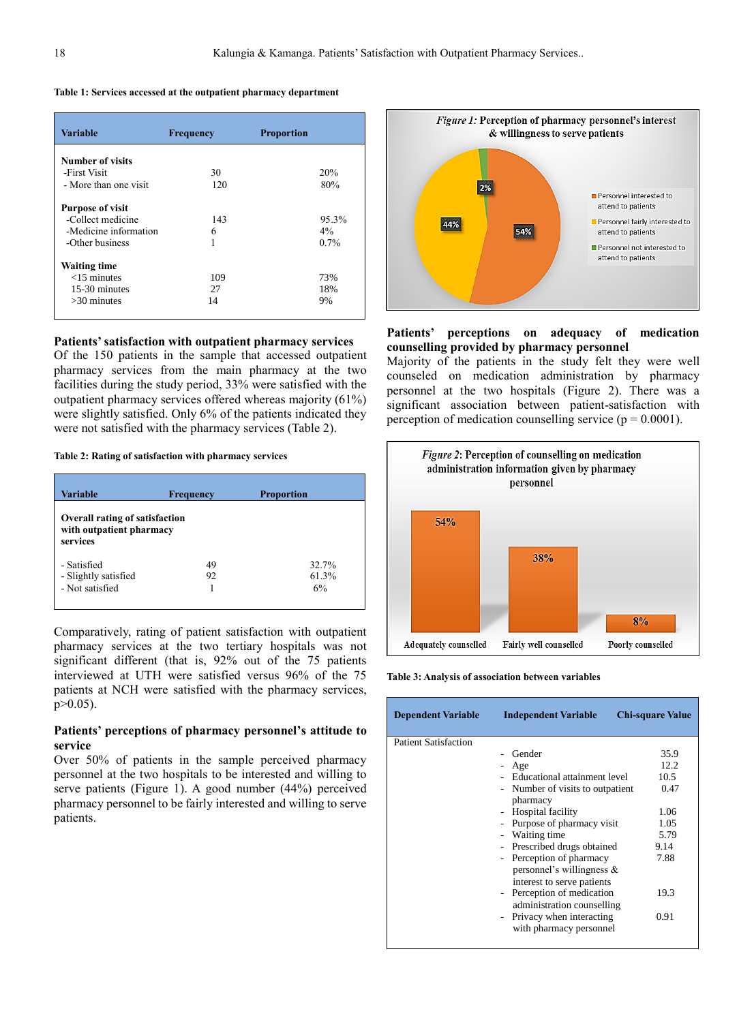| Table 1: Services accessed at the outpatient pharmacy department |  |  |  |  |
|------------------------------------------------------------------|--|--|--|--|
|------------------------------------------------------------------|--|--|--|--|

| Variable                | <b>Frequency</b> | <b>Proportion</b> |
|-------------------------|------------------|-------------------|
| Number of visits        |                  |                   |
| -First Visit            | 30               | 20%               |
| - More than one visit   | 120              | 80%               |
| <b>Purpose of visit</b> |                  |                   |
| -Collect medicine       | 143              | 95.3%             |
| -Medicine information   | 6                | $4\%$             |
| -Other business         | 1                | 0.7%              |
| <b>Waiting time</b>     |                  |                   |
| $<$ 15 minutes          | 109              | 73%               |
| 15-30 minutes           | 27               | 18%               |
| $>30$ minutes           | 14               | 9%                |

#### **Patients' satisfaction with outpatient pharmacy services**

Of the 150 patients in the sample that accessed outpatient pharmacy services from the main pharmacy at the two facilities during the study period, 33% were satisfied with the outpatient pharmacy services offered whereas majority (61%) were slightly satisfied. Only 6% of the patients indicated they were not satisfied with the pharmacy services (Table 2).

#### **Table 2: Rating of satisfaction with pharmacy services**

| Variable                                                                      | Frequency | <b>Proportion</b> |  |  |  |
|-------------------------------------------------------------------------------|-----------|-------------------|--|--|--|
| <b>Overall rating of satisfaction</b><br>with outpatient pharmacy<br>services |           |                   |  |  |  |
| - Satisfied                                                                   | 49        | 32.7%             |  |  |  |
| - Slightly satisfied                                                          | 92        | 61.3%             |  |  |  |
| - Not satisfied                                                               |           | 6%                |  |  |  |
|                                                                               |           |                   |  |  |  |

Comparatively, rating of patient satisfaction with outpatient pharmacy services at the two tertiary hospitals was not significant different (that is, 92% out of the 75 patients interviewed at UTH were satisfied versus 96% of the 75 patients at NCH were satisfied with the pharmacy services,  $p > 0.05$ ).

#### **Patients' perceptions of pharmacy personnel's attitude to service**

Over 50% of patients in the sample perceived pharmacy personnel at the two hospitals to be interested and willing to serve patients (Figure 1). A good number (44%) perceived pharmacy personnel to be fairly interested and willing to serve patients.



**Patients' perceptions on adequacy of medication counselling provided by pharmacy personnel**

Majority of the patients in the study felt they were well counseled on medication administration by pharmacy personnel at the two hospitals (Figure 2). There was a significant association between patient-satisfaction with perception of medication counselling service ( $p = 0.0001$ ).



**Table 3: Analysis of association between variables** 

| <b>Dependent Variable</b>   | <b>Independent Variable</b>                                | <b>Chi-square Value</b> |
|-----------------------------|------------------------------------------------------------|-------------------------|
| <b>Patient Satisfaction</b> |                                                            |                         |
|                             | Gender                                                     | 35.9                    |
|                             | Age                                                        | 12.2                    |
|                             | - Educational attainment level                             | 10.5                    |
|                             | Number of visits to outpatient<br>$\overline{\phantom{a}}$ | 0.47                    |
|                             | pharmacy                                                   |                         |
|                             | - Hospital facility                                        | 1.06                    |
|                             | Purpose of pharmacy visit                                  | 1.05                    |
|                             | Waiting time                                               | 5.79                    |
|                             | Prescribed drugs obtained                                  | 9.14                    |
|                             | Perception of pharmacy<br>$\overline{\phantom{0}}$         | 7.88                    |
|                             | personnel's willingness &                                  |                         |
|                             | interest to serve patients                                 |                         |
|                             | Perception of medication<br>$\sim$                         | 19.3                    |
|                             | administration counselling                                 |                         |
|                             | Privacy when interacting<br>$\sim$                         | 0.91                    |
|                             | with pharmacy personnel                                    |                         |
|                             |                                                            |                         |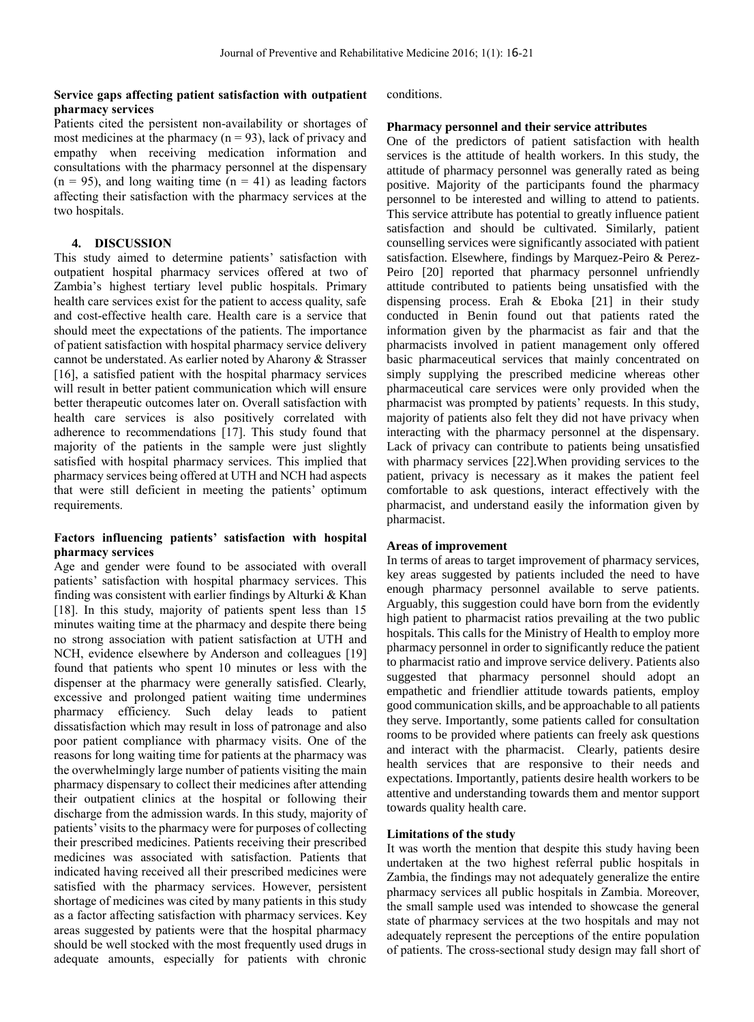#### **Service gaps affecting patient satisfaction with outpatient pharmacy services**

#### Patients cited the persistent non-availability or shortages of most medicines at the pharmacy  $(n = 93)$ , lack of privacy and empathy when receiving medication information and consultations with the pharmacy personnel at the dispensary  $(n = 95)$ , and long waiting time  $(n = 41)$  as leading factors affecting their satisfaction with the pharmacy services at the two hospitals.

#### **4. DISCUSSION**

This study aimed to determine patients' satisfaction with outpatient hospital pharmacy services offered at two of Zambia's highest tertiary level public hospitals. Primary health care services exist for the patient to access quality, safe and cost-effective health care. Health care is a service that should meet the expectations of the patients. The importance of patient satisfaction with hospital pharmacy service delivery cannot be understated. As earlier noted by Aharony & Strasser [16], a satisfied patient with the hospital pharmacy services will result in better patient communication which will ensure better therapeutic outcomes later on. Overall satisfaction with health care services is also positively correlated with adherence to recommendations [17]. This study found that majority of the patients in the sample were just slightly satisfied with hospital pharmacy services. This implied that pharmacy services being offered at UTH and NCH had aspects that were still deficient in meeting the patients' optimum requirements.

## **Factors influencing patients' satisfaction with hospital pharmacy services**

Age and gender were found to be associated with overall patients' satisfaction with hospital pharmacy services. This finding was consistent with earlier findings by Alturki & Khan [18]. In this study, majority of patients spent less than 15 minutes waiting time at the pharmacy and despite there being no strong association with patient satisfaction at UTH and NCH, evidence elsewhere by Anderson and colleagues [19] found that patients who spent 10 minutes or less with the dispenser at the pharmacy were generally satisfied. Clearly, excessive and prolonged patient waiting time undermines pharmacy efficiency. Such delay leads to patient dissatisfaction which may result in loss of patronage and also poor patient compliance with pharmacy visits. One of the reasons for long waiting time for patients at the pharmacy was the overwhelmingly large number of patients visiting the main pharmacy dispensary to collect their medicines after attending their outpatient clinics at the hospital or following their discharge from the admission wards. In this study, majority of patients' visits to the pharmacy were for purposes of collecting their prescribed medicines. Patients receiving their prescribed medicines was associated with satisfaction. Patients that indicated having received all their prescribed medicines were satisfied with the pharmacy services. However, persistent shortage of medicines was cited by many patients in this study as a factor affecting satisfaction with pharmacy services. Key areas suggested by patients were that the hospital pharmacy should be well stocked with the most frequently used drugs in adequate amounts, especially for patients with chronic conditions.

#### **Pharmacy personnel and their service attributes**

One of the predictors of patient satisfaction with health services is the attitude of health workers. In this study, the attitude of pharmacy personnel was generally rated as being positive. Majority of the participants found the pharmacy personnel to be interested and willing to attend to patients. This service attribute has potential to greatly influence patient satisfaction and should be cultivated. Similarly, patient counselling services were significantly associated with patient satisfaction. Elsewhere, findings by Marquez-Peiro & Perez-Peiro [20] reported that pharmacy personnel unfriendly attitude contributed to patients being unsatisfied with the dispensing process. Erah & Eboka [21] in their study conducted in Benin found out that patients rated the information given by the pharmacist as fair and that the pharmacists involved in patient management only offered basic pharmaceutical services that mainly concentrated on simply supplying the prescribed medicine whereas other pharmaceutical care services were only provided when the pharmacist was prompted by patients' requests. In this study, majority of patients also felt they did not have privacy when interacting with the pharmacy personnel at the dispensary. Lack of privacy can contribute to patients being unsatisfied with pharmacy services [22].When providing services to the patient, privacy is necessary as it makes the patient feel comfortable to ask questions, interact effectively with the pharmacist, and understand easily the information given by pharmacist.

#### **Areas of improvement**

In terms of areas to target improvement of pharmacy services, key areas suggested by patients included the need to have enough pharmacy personnel available to serve patients. Arguably, this suggestion could have born from the evidently high patient to pharmacist ratios prevailing at the two public hospitals. This calls for the Ministry of Health to employ more pharmacy personnel in order to significantly reduce the patient to pharmacist ratio and improve service delivery. Patients also suggested that pharmacy personnel should adopt an empathetic and friendlier attitude towards patients, employ good communication skills, and be approachable to all patients they serve. Importantly, some patients called for consultation rooms to be provided where patients can freely ask questions and interact with the pharmacist. Clearly, patients desire health services that are responsive to their needs and expectations. Importantly, patients desire health workers to be attentive and understanding towards them and mentor support towards quality health care.

#### **Limitations of the study**

It was worth the mention that despite this study having been undertaken at the two highest referral public hospitals in Zambia, the findings may not adequately generalize the entire pharmacy services all public hospitals in Zambia. Moreover, the small sample used was intended to showcase the general state of pharmacy services at the two hospitals and may not adequately represent the perceptions of the entire population of patients. The cross-sectional study design may fall short of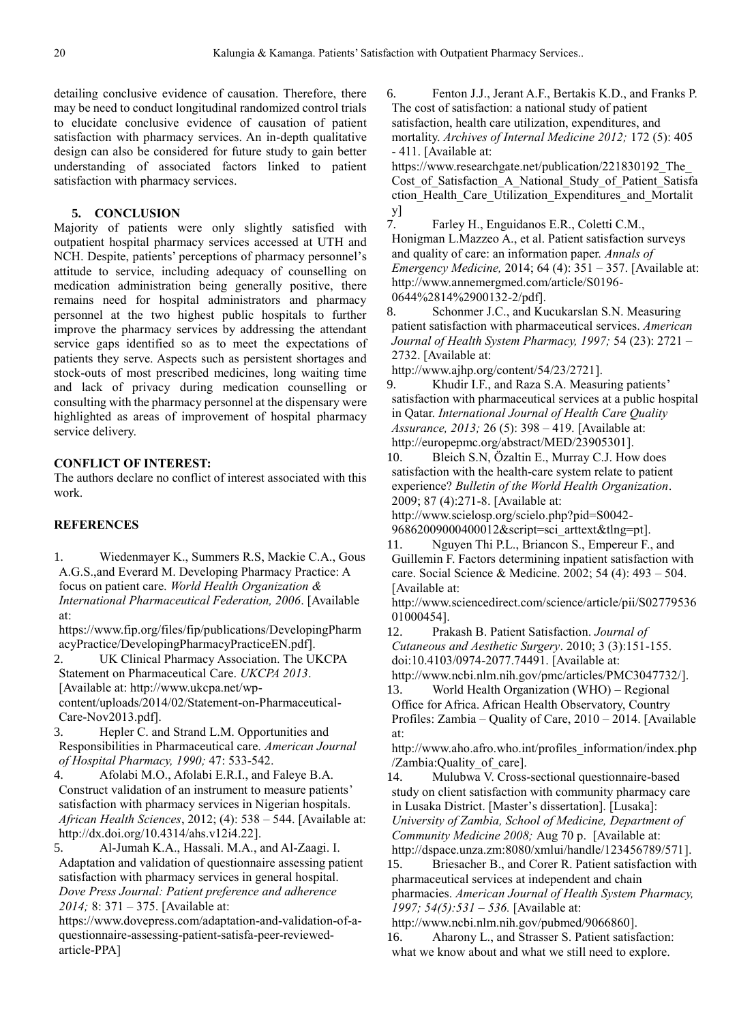detailing conclusive evidence of causation. Therefore, there may be need to conduct longitudinal randomized control trials to elucidate conclusive evidence of causation of patient satisfaction with pharmacy services. An in-depth qualitative design can also be considered for future study to gain better understanding of associated factors linked to patient satisfaction with pharmacy services.

#### **5. CONCLUSION**

Majority of patients were only slightly satisfied with outpatient hospital pharmacy services accessed at UTH and NCH. Despite, patients' perceptions of pharmacy personnel's attitude to service, including adequacy of counselling on medication administration being generally positive, there remains need for hospital administrators and pharmacy personnel at the two highest public hospitals to further improve the pharmacy services by addressing the attendant service gaps identified so as to meet the expectations of patients they serve. Aspects such as persistent shortages and stock-outs of most prescribed medicines, long waiting time and lack of privacy during medication counselling or consulting with the pharmacy personnel at the dispensary were highlighted as areas of improvement of hospital pharmacy service delivery.

#### **CONFLICT OF INTEREST:**

The authors declare no conflict of interest associated with this work.

## **REFERENCES**

1. Wiedenmayer K., Summers R.S, Mackie C.A., Gous A.G.S.,and Everard M. Developing Pharmacy Practice: A focus on patient care. *World Health Organization & International Pharmaceutical Federation, 2006*. [Available at:

[https://www.fip.org/files/fip/publications/DevelopingPharm](https://www.fip.org/files/fip/publications/DevelopingPharmacyPractice/DevelopingPharmacyPracticeEN.pdf) [acyPractice/DevelopingPharmacyPracticeEN.pdf\]](https://www.fip.org/files/fip/publications/DevelopingPharmacyPractice/DevelopingPharmacyPracticeEN.pdf).

2. UK Clinical Pharmacy Association. The UKCPA Statement on Pharmaceutical Care. *UKCPA 2013*. [Available at: [http://www.ukcpa.net/wp](http://www.ukcpa.net/wp-content/uploads/2014/02/Statement-on-Pharmaceutical-Care-Nov2013.pdf)[content/uploads/2014/02/Statement-on-Pharmaceutical-](http://www.ukcpa.net/wp-content/uploads/2014/02/Statement-on-Pharmaceutical-Care-Nov2013.pdf)[Care-Nov2013.pdf\]](http://www.ukcpa.net/wp-content/uploads/2014/02/Statement-on-Pharmaceutical-Care-Nov2013.pdf).

3. Hepler C. and Strand L.M. Opportunities and Responsibilities in Pharmaceutical care. *American Journal of Hospital Pharmacy, 1990;* 47: 533-542.

4. Afolabi M.O., Afolabi E.R.I., and Faleye B.A. Construct validation of an instrument to measure patients' satisfaction with pharmacy services in Nigerian hospitals. *African Health Sciences*, 2012; (4): 538 – 544. [Available at: [http://dx.doi.org/10.4314/ahs.v12i4.22\]](http://dx.doi.org/10.4314/ahs.v12i4.22).

5. Al-Jumah K.A., Hassali. M.A., and Al-Zaagi. I. Adaptation and validation of questionnaire assessing patient satisfaction with pharmacy services in general hospital. *Dove Press Journal: Patient preference and adherence 2014;* 8: 371 – 375. [Available at:

[https://www.dovepress.com/adaptation-and-validation-of-a](https://www.dovepress.com/adaptation-and-validation-of-a-questionnaire-assessing-patient-satisfa-peer-reviewed-article-PPA)[questionnaire-assessing-patient-satisfa-peer-reviewed](https://www.dovepress.com/adaptation-and-validation-of-a-questionnaire-assessing-patient-satisfa-peer-reviewed-article-PPA)[article-PPA\]](https://www.dovepress.com/adaptation-and-validation-of-a-questionnaire-assessing-patient-satisfa-peer-reviewed-article-PPA)

6. Fenton J.J., Jerant A.F., Bertakis K.D., and Franks P. The cost of satisfaction: a national study of patient satisfaction, health care utilization, expenditures, and mortality. *Archives of Internal Medicine 2012;* 172 (5): 405 - 411. [Available at:

https://www.researchgate.net/publication/221830192\_The Cost of Satisfaction A National Study of Patient Satisfa [ction\\_Health\\_Care\\_Utilization\\_Expenditures\\_and\\_Mortalit](https://www.researchgate.net/publication/221830192_The_Cost_of_Satisfaction_A_National_Study_of_Patient_Satisfaction_Health_Care_Utilization_Expenditures_and_Mortality)

 $\frac{y}{7}$ . 7. Farley H., Enguidanos E.R., Coletti C.M., Honigman L.Mazzeo A., et al. Patient satisfaction surveys and quality of care: an information paper. *Annals of Emergency Medicine,* 2014; 64 (4): 351 – 357. [Available at: [http://www.annemergmed.com/article/S0196-](http://www.annemergmed.com/article/S0196-0644%2814%2900132-2/pdf) [0644%2814%2900132-2/pdf\]](http://www.annemergmed.com/article/S0196-0644%2814%2900132-2/pdf).

8. Schonmer J.C., and Kucukarslan S.N. Measuring patient satisfaction with pharmaceutical services. *American Journal of Health System Pharmacy, 1997;* 54 (23): 2721 – 2732. [Available at:

[http://www.ajhp.org/content/54/23/2721\]](http://www.ajhp.org/content/54/23/2721).

9. Khudir I.F., and Raza S.A. Measuring patients' satisfaction with pharmaceutical services at a public hospital in Qatar. *International Journal of Health Care Quality Assurance, 2013;* 26 (5): 398 – 419. [Available at: [http://europepmc.org/abstract/MED/23905301\]](http://europepmc.org/abstract/MED/23905301).

10. Bleich S.N, Özaltin E., Murray C.J. How does satisfaction with the health-care system relate to patient experience? *Bulletin of the World Health Organization*. 2009; 87 (4):271-8. [Available at:

[http://www.scielosp.org/scielo.php?pid=S0042-](http://www.scielosp.org/scielo.php?pid=S0042-96862009000400012&script=sci_arttext&tlng=pt) [96862009000400012&script=sci\\_arttext&tlng=pt\]](http://www.scielosp.org/scielo.php?pid=S0042-96862009000400012&script=sci_arttext&tlng=pt).

11. Nguyen Thi P.L., Briancon S., Empereur F., and Guillemin F. Factors determining inpatient satisfaction with care. Social Science & Medicine. 2002; 54 (4): 493 – 504. [Available at:

[http://www.sciencedirect.com/science/article/pii/S02779536](http://www.sciencedirect.com/science/article/pii/S0277953601000454) [01000454\]](http://www.sciencedirect.com/science/article/pii/S0277953601000454).

12. Prakash B. Patient Satisfaction. *Journal of Cutaneous and Aesthetic Surgery*. 2010; 3 (3):151-155. doi:10.4103/0974-2077.74491. [Available at:

[http://www.ncbi.nlm.nih.gov/pmc/articles/PMC3047732/\]](http://www.ncbi.nlm.nih.gov/pmc/articles/PMC3047732/).

13. World Health Organization (WHO) – Regional Office for Africa. African Health Observatory, Country Profiles: Zambia – Quality of Care, 2010 – 2014. [Available at:

[http://www.aho.afro.who.int/profiles\\_information/index.php](http://www.aho.afro.who.int/profiles_information/index.php/Zambia:Quality_of_care) [/Zambia:Quality\\_of\\_care\]](http://www.aho.afro.who.int/profiles_information/index.php/Zambia:Quality_of_care).

14. Mulubwa V. Cross-sectional questionnaire-based study on client satisfaction with community pharmacy care in Lusaka District. [Master's dissertation]. [Lusaka]: *University of Zambia, School of Medicine, Department of Community Medicine 2008;* Aug 70 p. [Available at: [http://dspace.unza.zm:8080/xmlui/handle/123456789/571\]](http://dspace.unza.zm:8080/xmlui/handle/123456789/571).

15. Briesacher B., and Corer R. Patient satisfaction with pharmaceutical services at independent and chain pharmacies. *American Journal of Health System Pharmacy, 1997; 54(5):531 – 536.* [Available at:

[http://www.ncbi.nlm.nih.gov/pubmed/9066860\]](http://www.ncbi.nlm.nih.gov/pubmed/9066860). 16. Aharony L., and Strasser S. Patient satisfaction:

what we know about and what we still need to explore.